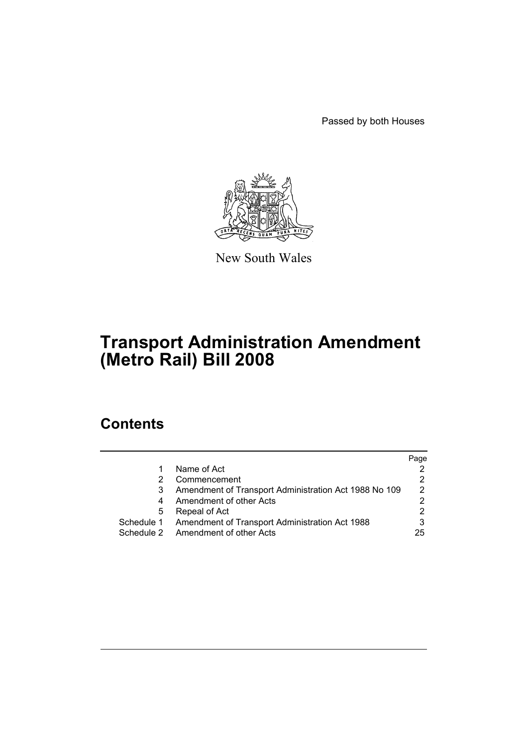Passed by both Houses



New South Wales

# **Transport Administration Amendment (Metro Rail) Bill 2008**

# **Contents**

|                                                           | Page |
|-----------------------------------------------------------|------|
| Name of Act                                               |      |
| Commencement                                              |      |
| Amendment of Transport Administration Act 1988 No 109     | 2    |
| Amendment of other Acts                                   |      |
| Repeal of Act                                             | 2    |
| Schedule 1 Amendment of Transport Administration Act 1988 | 3    |
| Schedule 2 Amendment of other Acts                        | 25   |
|                                                           |      |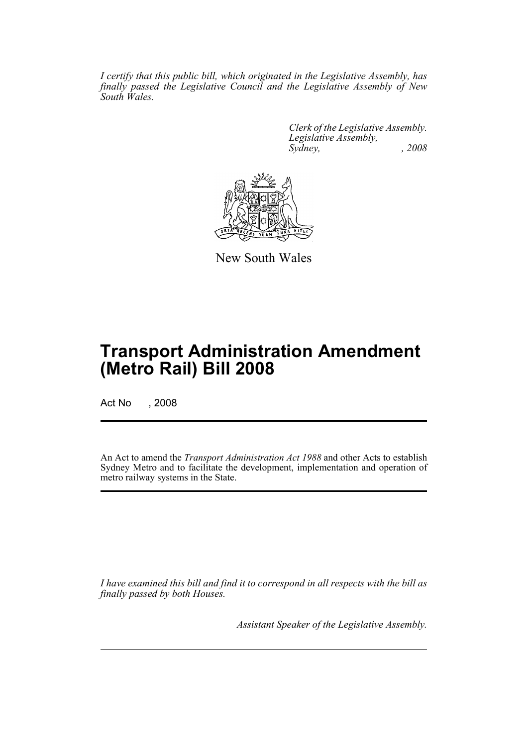*I certify that this public bill, which originated in the Legislative Assembly, has finally passed the Legislative Council and the Legislative Assembly of New South Wales.*

> *Clerk of the Legislative Assembly. Legislative Assembly, Sydney, , 2008*



New South Wales

# **Transport Administration Amendment (Metro Rail) Bill 2008**

Act No , 2008

An Act to amend the *Transport Administration Act 1988* and other Acts to establish Sydney Metro and to facilitate the development, implementation and operation of metro railway systems in the State.

*I have examined this bill and find it to correspond in all respects with the bill as finally passed by both Houses.*

*Assistant Speaker of the Legislative Assembly.*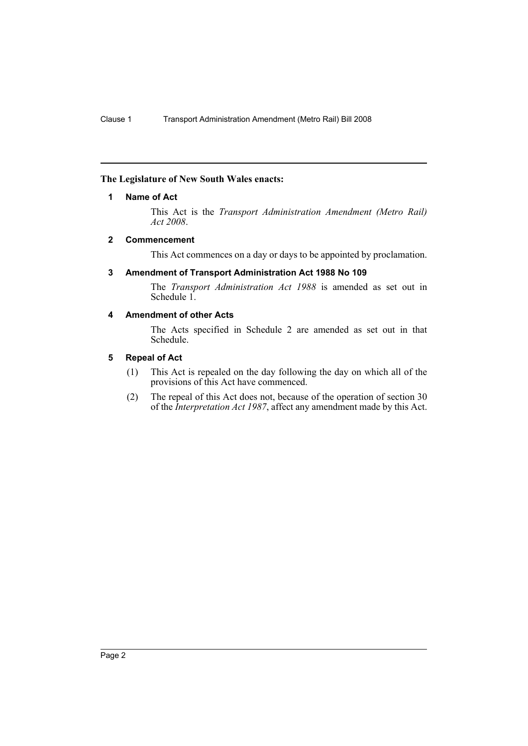# <span id="page-2-0"></span>**The Legislature of New South Wales enacts:**

#### **1 Name of Act**

This Act is the *Transport Administration Amendment (Metro Rail) Act 2008*.

#### <span id="page-2-1"></span>**2 Commencement**

This Act commences on a day or days to be appointed by proclamation.

#### <span id="page-2-2"></span>**3 Amendment of Transport Administration Act 1988 No 109**

The *Transport Administration Act 1988* is amended as set out in Schedule 1.

# <span id="page-2-3"></span>**4 Amendment of other Acts**

The Acts specified in Schedule 2 are amended as set out in that Schedule.

#### <span id="page-2-4"></span>**5 Repeal of Act**

- (1) This Act is repealed on the day following the day on which all of the provisions of this Act have commenced.
- (2) The repeal of this Act does not, because of the operation of section 30 of the *Interpretation Act 1987*, affect any amendment made by this Act.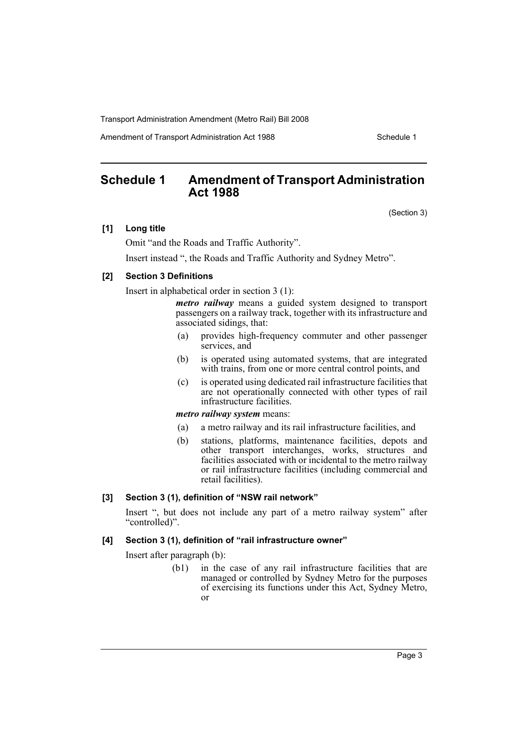Amendment of Transport Administration Act 1988 Schedule 1

# <span id="page-3-0"></span>**Schedule 1 Amendment of Transport Administration Act 1988**

(Section 3)

# **[1] Long title**

Omit "and the Roads and Traffic Authority".

Insert instead ", the Roads and Traffic Authority and Sydney Metro".

# **[2] Section 3 Definitions**

Insert in alphabetical order in section 3 (1):

*metro railway* means a guided system designed to transport passengers on a railway track, together with its infrastructure and associated sidings, that:

- (a) provides high-frequency commuter and other passenger services, and
- (b) is operated using automated systems, that are integrated with trains, from one or more central control points, and
- (c) is operated using dedicated rail infrastructure facilities that are not operationally connected with other types of rail infrastructure facilities.

#### *metro railway system* means:

- (a) a metro railway and its rail infrastructure facilities, and
- (b) stations, platforms, maintenance facilities, depots and other transport interchanges, works, structures and facilities associated with or incidental to the metro railway or rail infrastructure facilities (including commercial and retail facilities).

# **[3] Section 3 (1), definition of "NSW rail network"**

Insert ", but does not include any part of a metro railway system" after "controlled)".

# **[4] Section 3 (1), definition of "rail infrastructure owner"**

Insert after paragraph (b):

(b1) in the case of any rail infrastructure facilities that are managed or controlled by Sydney Metro for the purposes of exercising its functions under this Act, Sydney Metro, or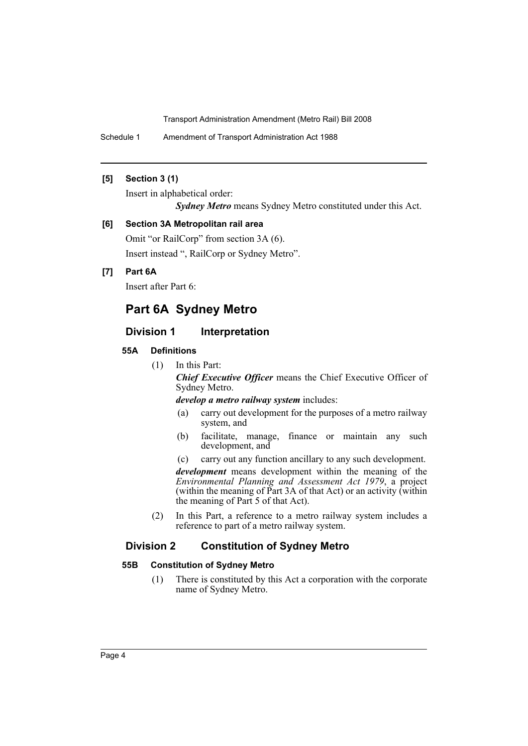Schedule 1 Amendment of Transport Administration Act 1988

#### **[5] Section 3 (1)**

Insert in alphabetical order:

*Sydney Metro* means Sydney Metro constituted under this Act.

#### **[6] Section 3A Metropolitan rail area**

Omit "or RailCorp" from section 3A (6). Insert instead ", RailCorp or Sydney Metro".

# **[7] Part 6A**

Insert after Part 6:

# **Part 6A Sydney Metro**

# **Division 1 Interpretation**

#### **55A Definitions**

(1) In this Part:

*Chief Executive Officer* means the Chief Executive Officer of Sydney Metro.

*develop a metro railway system* includes:

- (a) carry out development for the purposes of a metro railway system, and
- (b) facilitate, manage, finance or maintain any such development, and
- (c) carry out any function ancillary to any such development.

*development* means development within the meaning of the *Environmental Planning and Assessment Act 1979*, a project (within the meaning of Part 3A of that Act) or an activity (within the meaning of Part 5 of that Act).

(2) In this Part, a reference to a metro railway system includes a reference to part of a metro railway system.

# **Division 2 Constitution of Sydney Metro**

#### **55B Constitution of Sydney Metro**

(1) There is constituted by this Act a corporation with the corporate name of Sydney Metro.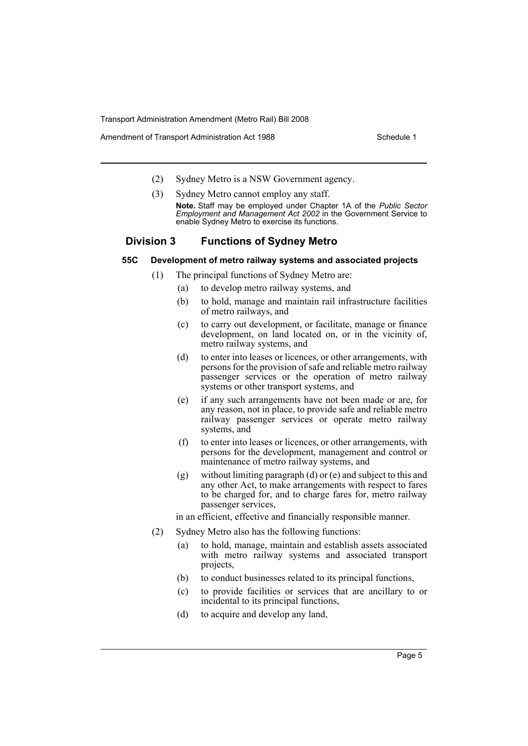Amendment of Transport Administration Act 1988 Schedule 1

- (2) Sydney Metro is a NSW Government agency.
- (3) Sydney Metro cannot employ any staff. **Note.** Staff may be employed under Chapter 1A of the *Public Sector Employment and Management Act 2002* in the Government Service to enable Sydney Metro to exercise its functions.

# **Division 3 Functions of Sydney Metro**

#### **55C Development of metro railway systems and associated projects**

- (1) The principal functions of Sydney Metro are:
	- (a) to develop metro railway systems, and
		- (b) to hold, manage and maintain rail infrastructure facilities of metro railways, and
		- (c) to carry out development, or facilitate, manage or finance development, on land located on, or in the vicinity of, metro railway systems, and
		- (d) to enter into leases or licences, or other arrangements, with persons for the provision of safe and reliable metro railway passenger services or the operation of metro railway systems or other transport systems, and
		- (e) if any such arrangements have not been made or are, for any reason, not in place, to provide safe and reliable metro railway passenger services or operate metro railway systems, and
		- (f) to enter into leases or licences, or other arrangements, with persons for the development, management and control or maintenance of metro railway systems, and
		- (g) without limiting paragraph (d) or (e) and subject to this and any other Act, to make arrangements with respect to fares to be charged for, and to charge fares for, metro railway passenger services,

in an efficient, effective and financially responsible manner.

- (2) Sydney Metro also has the following functions:
	- (a) to hold, manage, maintain and establish assets associated with metro railway systems and associated transport projects,
	- (b) to conduct businesses related to its principal functions,
	- (c) to provide facilities or services that are ancillary to or incidental to its principal functions,
	- (d) to acquire and develop any land,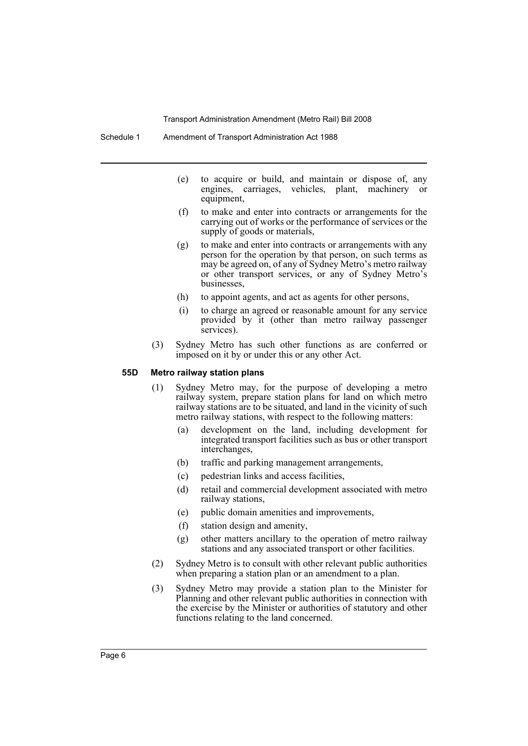- (e) to acquire or build, and maintain or dispose of, any engines, carriages, vehicles, plant, machinery or equipment,
- (f) to make and enter into contracts or arrangements for the carrying out of works or the performance of services or the supply of goods or materials,
- (g) to make and enter into contracts or arrangements with any person for the operation by that person, on such terms as may be agreed on, of any of Sydney Metro's metro railway or other transport services, or any of Sydney Metro's businesses,
- (h) to appoint agents, and act as agents for other persons,
- (i) to charge an agreed or reasonable amount for any service provided by it (other than metro railway passenger services).
- (3) Sydney Metro has such other functions as are conferred or imposed on it by or under this or any other Act.

#### **55D Metro railway station plans**

- (1) Sydney Metro may, for the purpose of developing a metro railway system, prepare station plans for land on which metro railway stations are to be situated, and land in the vicinity of such metro railway stations, with respect to the following matters:
	- (a) development on the land, including development for integrated transport facilities such as bus or other transport interchanges,
	- (b) traffic and parking management arrangements,
	- (c) pedestrian links and access facilities,
	- (d) retail and commercial development associated with metro railway stations,
	- (e) public domain amenities and improvements,
	- (f) station design and amenity,
	- (g) other matters ancillary to the operation of metro railway stations and any associated transport or other facilities.
- (2) Sydney Metro is to consult with other relevant public authorities when preparing a station plan or an amendment to a plan.
- (3) Sydney Metro may provide a station plan to the Minister for Planning and other relevant public authorities in connection with the exercise by the Minister or authorities of statutory and other functions relating to the land concerned.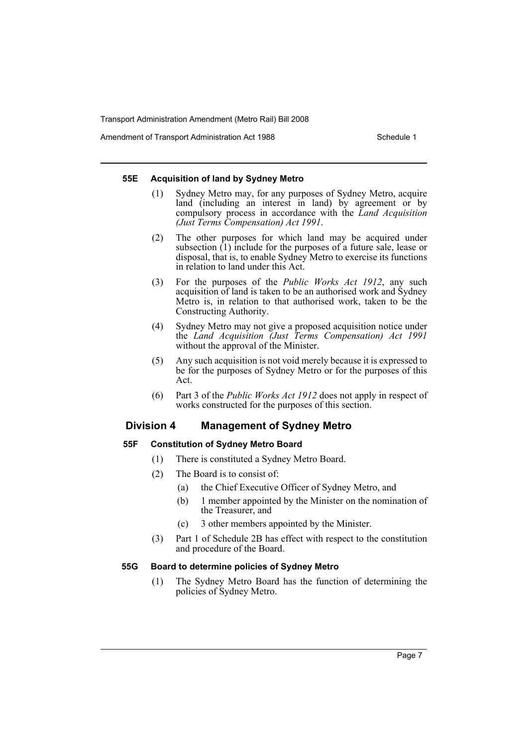Amendment of Transport Administration Act 1988 Schedule 1

#### **55E Acquisition of land by Sydney Metro**

- (1) Sydney Metro may, for any purposes of Sydney Metro, acquire land (including an interest in land) by agreement or by compulsory process in accordance with the *Land Acquisition (Just Terms Compensation) Act 1991*.
- (2) The other purposes for which land may be acquired under subsection  $(1)$  include for the purposes of a future sale, lease or disposal, that is, to enable Sydney Metro to exercise its functions in relation to land under this Act.
- (3) For the purposes of the *Public Works Act 1912*, any such acquisition of land is taken to be an authorised work and Sydney Metro is, in relation to that authorised work, taken to be the Constructing Authority.
- (4) Sydney Metro may not give a proposed acquisition notice under the *Land Acquisition (Just Terms Compensation) Act 1991* without the approval of the Minister.
- (5) Any such acquisition is not void merely because it is expressed to be for the purposes of Sydney Metro or for the purposes of this Act.
- (6) Part 3 of the *Public Works Act 1912* does not apply in respect of works constructed for the purposes of this section.

# **Division 4 Management of Sydney Metro**

# **55F Constitution of Sydney Metro Board**

- (1) There is constituted a Sydney Metro Board.
- (2) The Board is to consist of:
	- (a) the Chief Executive Officer of Sydney Metro, and
	- (b) 1 member appointed by the Minister on the nomination of the Treasurer, and
	- (c) 3 other members appointed by the Minister.
- (3) Part 1 of Schedule 2B has effect with respect to the constitution and procedure of the Board.

# **55G Board to determine policies of Sydney Metro**

(1) The Sydney Metro Board has the function of determining the policies of Sydney Metro.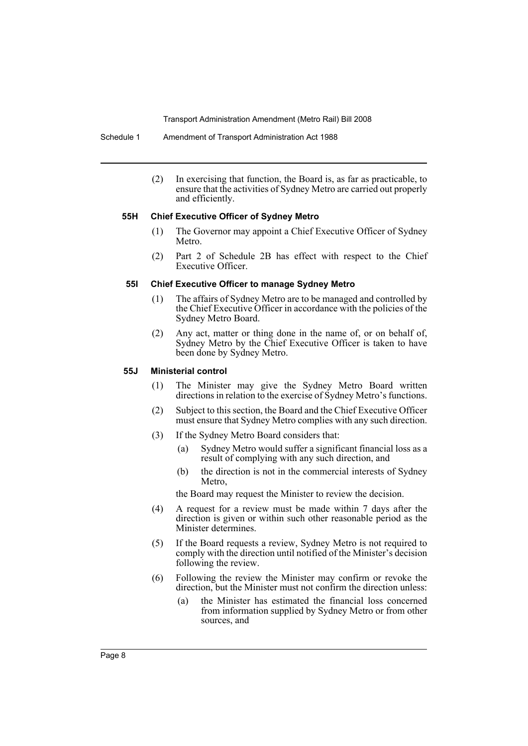Schedule 1 Amendment of Transport Administration Act 1988

(2) In exercising that function, the Board is, as far as practicable, to ensure that the activities of Sydney Metro are carried out properly and efficiently.

#### **55H Chief Executive Officer of Sydney Metro**

- (1) The Governor may appoint a Chief Executive Officer of Sydney Metro.
- (2) Part 2 of Schedule 2B has effect with respect to the Chief Executive Officer.

#### **55I Chief Executive Officer to manage Sydney Metro**

- (1) The affairs of Sydney Metro are to be managed and controlled by the Chief Executive Officer in accordance with the policies of the Sydney Metro Board.
- (2) Any act, matter or thing done in the name of, or on behalf of, Sydney Metro by the Chief Executive Officer is taken to have been done by Sydney Metro.

#### **55J Ministerial control**

- (1) The Minister may give the Sydney Metro Board written directions in relation to the exercise of Sydney Metro's functions.
- (2) Subject to this section, the Board and the Chief Executive Officer must ensure that Sydney Metro complies with any such direction.
- (3) If the Sydney Metro Board considers that:
	- (a) Sydney Metro would suffer a significant financial loss as a result of complying with any such direction, and
	- (b) the direction is not in the commercial interests of Sydney **Metro**

the Board may request the Minister to review the decision.

- (4) A request for a review must be made within 7 days after the direction is given or within such other reasonable period as the Minister determines.
- (5) If the Board requests a review, Sydney Metro is not required to comply with the direction until notified of the Minister's decision following the review.
- (6) Following the review the Minister may confirm or revoke the direction, but the Minister must not confirm the direction unless:
	- (a) the Minister has estimated the financial loss concerned from information supplied by Sydney Metro or from other sources, and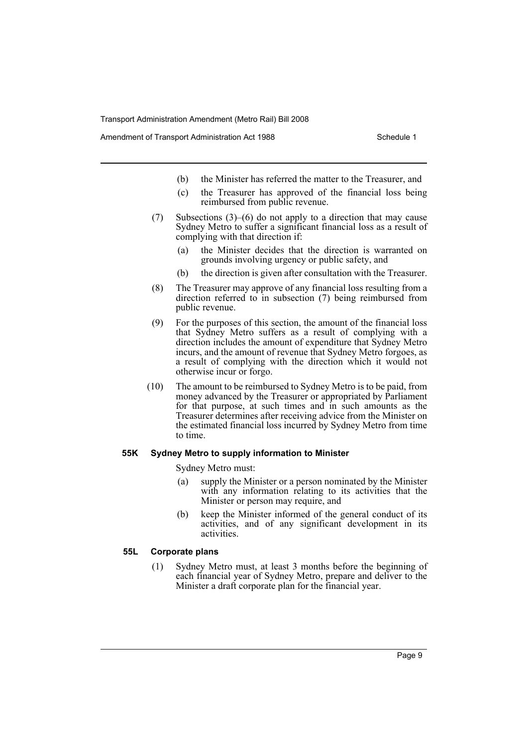Amendment of Transport Administration Act 1988 Schedule 1

- (b) the Minister has referred the matter to the Treasurer, and
- (c) the Treasurer has approved of the financial loss being reimbursed from public revenue.
- (7) Subsections (3)–(6) do not apply to a direction that may cause Sydney Metro to suffer a significant financial loss as a result of complying with that direction if:
	- (a) the Minister decides that the direction is warranted on grounds involving urgency or public safety, and
	- (b) the direction is given after consultation with the Treasurer.
- (8) The Treasurer may approve of any financial loss resulting from a direction referred to in subsection (7) being reimbursed from public revenue.
- (9) For the purposes of this section, the amount of the financial loss that Sydney Metro suffers as a result of complying with a direction includes the amount of expenditure that Sydney Metro incurs, and the amount of revenue that Sydney Metro forgoes, as a result of complying with the direction which it would not otherwise incur or forgo.
- (10) The amount to be reimbursed to Sydney Metro is to be paid, from money advanced by the Treasurer or appropriated by Parliament for that purpose, at such times and in such amounts as the Treasurer determines after receiving advice from the Minister on the estimated financial loss incurred by Sydney Metro from time to time.

#### **55K Sydney Metro to supply information to Minister**

Sydney Metro must:

- (a) supply the Minister or a person nominated by the Minister with any information relating to its activities that the Minister or person may require, and
- (b) keep the Minister informed of the general conduct of its activities, and of any significant development in its activities.

#### **55L Corporate plans**

(1) Sydney Metro must, at least 3 months before the beginning of each financial year of Sydney Metro, prepare and deliver to the Minister a draft corporate plan for the financial year.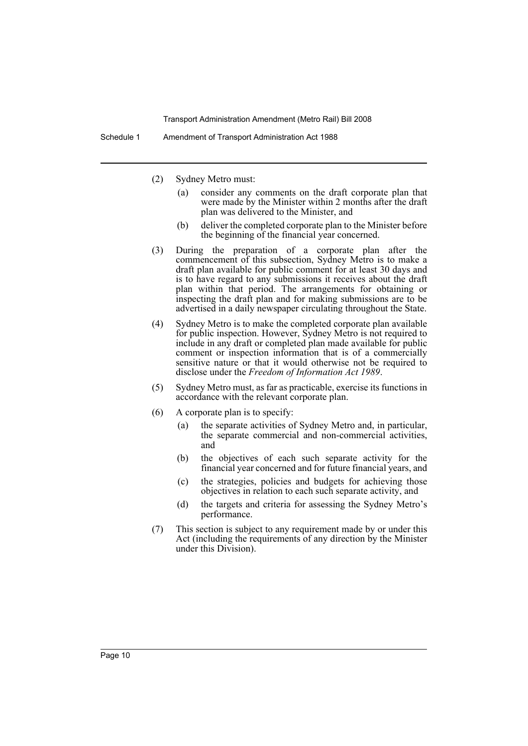- (2) Sydney Metro must:
	- (a) consider any comments on the draft corporate plan that were made by the Minister within 2 months after the draft plan was delivered to the Minister, and
	- (b) deliver the completed corporate plan to the Minister before the beginning of the financial year concerned.
- (3) During the preparation of a corporate plan after the commencement of this subsection, Sydney Metro is to make a draft plan available for public comment for at least 30 days and is to have regard to any submissions it receives about the draft plan within that period. The arrangements for obtaining or inspecting the draft plan and for making submissions are to be advertised in a daily newspaper circulating throughout the State.
- (4) Sydney Metro is to make the completed corporate plan available for public inspection. However, Sydney Metro is not required to include in any draft or completed plan made available for public comment or inspection information that is of a commercially sensitive nature or that it would otherwise not be required to disclose under the *Freedom of Information Act 1989*.
- (5) Sydney Metro must, as far as practicable, exercise its functions in accordance with the relevant corporate plan.
- (6) A corporate plan is to specify:
	- (a) the separate activities of Sydney Metro and, in particular, the separate commercial and non-commercial activities, and
	- (b) the objectives of each such separate activity for the financial year concerned and for future financial years, and
	- (c) the strategies, policies and budgets for achieving those objectives in relation to each such separate activity, and
	- (d) the targets and criteria for assessing the Sydney Metro's performance.
- (7) This section is subject to any requirement made by or under this Act (including the requirements of any direction by the Minister under this Division).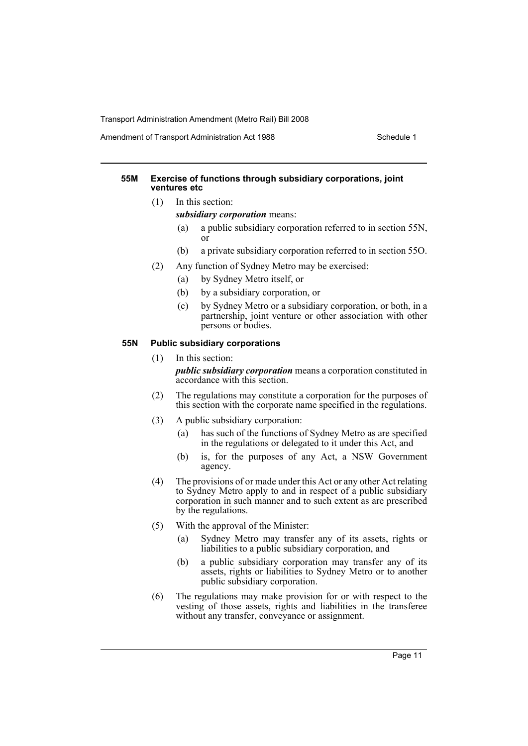Amendment of Transport Administration Act 1988 Schedule 1

# **55M Exercise of functions through subsidiary corporations, joint ventures etc**

- (1) In this section:
	- *subsidiary corporation* means:
		- (a) a public subsidiary corporation referred to in section 55N, or
		- (b) a private subsidiary corporation referred to in section 55O.
- (2) Any function of Sydney Metro may be exercised:
	- (a) by Sydney Metro itself, or
	- (b) by a subsidiary corporation, or
	- (c) by Sydney Metro or a subsidiary corporation, or both, in a partnership, joint venture or other association with other persons or bodies.

# **55N Public subsidiary corporations**

# (1) In this section:

*public subsidiary corporation* means a corporation constituted in accordance with this section.

- (2) The regulations may constitute a corporation for the purposes of this section with the corporate name specified in the regulations.
- (3) A public subsidiary corporation:
	- (a) has such of the functions of Sydney Metro as are specified in the regulations or delegated to it under this Act, and
	- (b) is, for the purposes of any Act, a NSW Government agency.
- (4) The provisions of or made under this Act or any other Act relating to Sydney Metro apply to and in respect of a public subsidiary corporation in such manner and to such extent as are prescribed by the regulations.
- (5) With the approval of the Minister:
	- (a) Sydney Metro may transfer any of its assets, rights or liabilities to a public subsidiary corporation, and
	- (b) a public subsidiary corporation may transfer any of its assets, rights or liabilities to Sydney Metro or to another public subsidiary corporation.
- (6) The regulations may make provision for or with respect to the vesting of those assets, rights and liabilities in the transferee without any transfer, conveyance or assignment.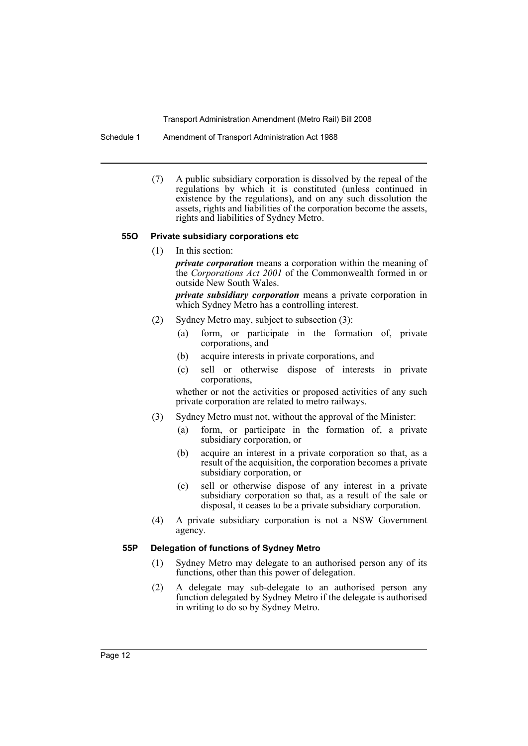#### Schedule 1 Amendment of Transport Administration Act 1988

(7) A public subsidiary corporation is dissolved by the repeal of the regulations by which it is constituted (unless continued in existence by the regulations), and on any such dissolution the assets, rights and liabilities of the corporation become the assets, rights and liabilities of Sydney Metro.

#### **55O Private subsidiary corporations etc**

(1) In this section:

*private corporation* means a corporation within the meaning of the *Corporations Act 2001* of the Commonwealth formed in or outside New South Wales.

*private subsidiary corporation* means a private corporation in which Sydney Metro has a controlling interest.

- (2) Sydney Metro may, subject to subsection (3):
	- (a) form, or participate in the formation of, private corporations, and
	- (b) acquire interests in private corporations, and
	- (c) sell or otherwise dispose of interests in private corporations,

whether or not the activities or proposed activities of any such private corporation are related to metro railways.

- (3) Sydney Metro must not, without the approval of the Minister:
	- (a) form, or participate in the formation of, a private subsidiary corporation, or
	- (b) acquire an interest in a private corporation so that, as a result of the acquisition, the corporation becomes a private subsidiary corporation, or
	- (c) sell or otherwise dispose of any interest in a private subsidiary corporation so that, as a result of the sale or disposal, it ceases to be a private subsidiary corporation.
- (4) A private subsidiary corporation is not a NSW Government agency.

#### **55P Delegation of functions of Sydney Metro**

- (1) Sydney Metro may delegate to an authorised person any of its functions, other than this power of delegation.
- (2) A delegate may sub-delegate to an authorised person any function delegated by Sydney Metro if the delegate is authorised in writing to do so by Sydney Metro.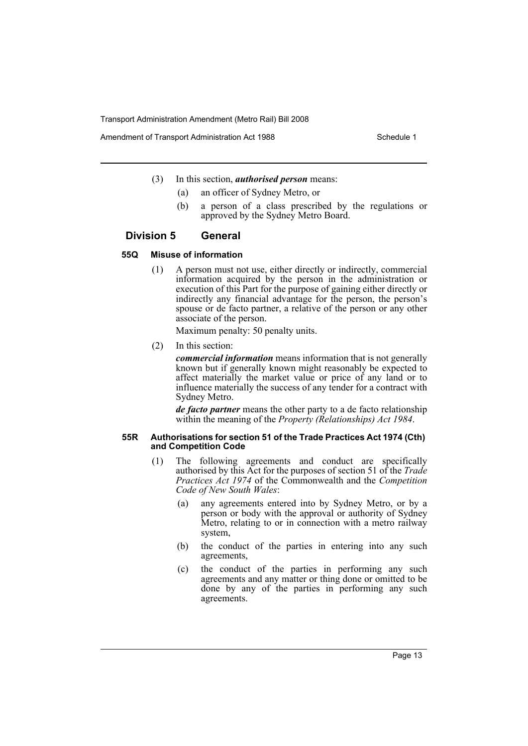Amendment of Transport Administration Act 1988 Schedule 1

- (3) In this section, *authorised person* means:
	- (a) an officer of Sydney Metro, or
	- (b) a person of a class prescribed by the regulations or approved by the Sydney Metro Board.

# **Division 5 General**

#### **55Q Misuse of information**

(1) A person must not use, either directly or indirectly, commercial information acquired by the person in the administration or execution of this Part for the purpose of gaining either directly or indirectly any financial advantage for the person, the person's spouse or de facto partner, a relative of the person or any other associate of the person.

Maximum penalty: 50 penalty units.

(2) In this section:

*commercial information* means information that is not generally known but if generally known might reasonably be expected to affect materially the market value or price of any land or to influence materially the success of any tender for a contract with Sydney Metro.

*de facto partner* means the other party to a de facto relationship within the meaning of the *Property (Relationships) Act 1984*.

#### **55R Authorisations for section 51 of the Trade Practices Act 1974 (Cth) and Competition Code**

- (1) The following agreements and conduct are specifically authorised by this Act for the purposes of section 51 of the *Trade Practices Act 1974* of the Commonwealth and the *Competition Code of New South Wales*:
	- (a) any agreements entered into by Sydney Metro, or by a person or body with the approval or authority of Sydney Metro, relating to or in connection with a metro railway system,
	- (b) the conduct of the parties in entering into any such agreements,
	- (c) the conduct of the parties in performing any such agreements and any matter or thing done or omitted to be done by any of the parties in performing any such agreements.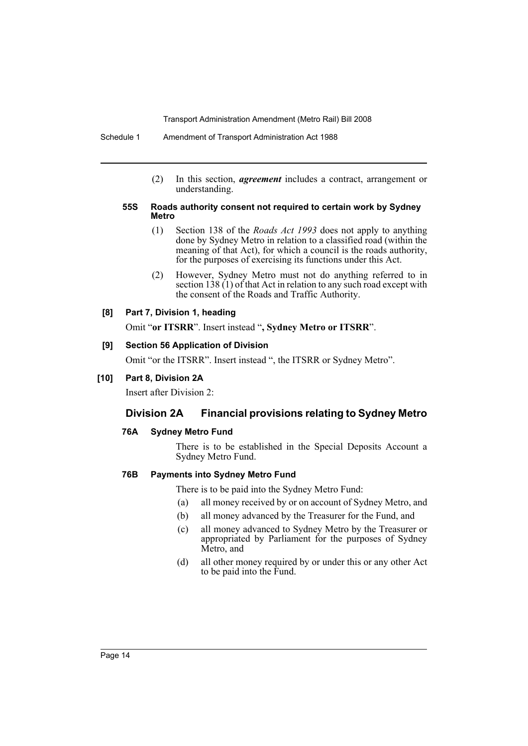(2) In this section, *agreement* includes a contract, arrangement or understanding.

#### **55S Roads authority consent not required to certain work by Sydney Metro**

- (1) Section 138 of the *Roads Act 1993* does not apply to anything done by Sydney Metro in relation to a classified road (within the meaning of that Act), for which a council is the roads authority, for the purposes of exercising its functions under this Act.
- (2) However, Sydney Metro must not do anything referred to in section  $138(1)$  of that Act in relation to any such road except with the consent of the Roads and Traffic Authority.

#### **[8] Part 7, Division 1, heading**

Omit "**or ITSRR**". Insert instead "**, Sydney Metro or ITSRR**".

#### **[9] Section 56 Application of Division**

Omit "or the ITSRR". Insert instead ", the ITSRR or Sydney Metro".

#### **[10] Part 8, Division 2A**

Insert after Division 2:

# **Division 2A Financial provisions relating to Sydney Metro**

#### **76A Sydney Metro Fund**

There is to be established in the Special Deposits Account a Sydney Metro Fund.

#### **76B Payments into Sydney Metro Fund**

There is to be paid into the Sydney Metro Fund:

- (a) all money received by or on account of Sydney Metro, and
- (b) all money advanced by the Treasurer for the Fund, and
- (c) all money advanced to Sydney Metro by the Treasurer or appropriated by Parliament for the purposes of Sydney Metro, and
- (d) all other money required by or under this or any other Act to be paid into the Fund.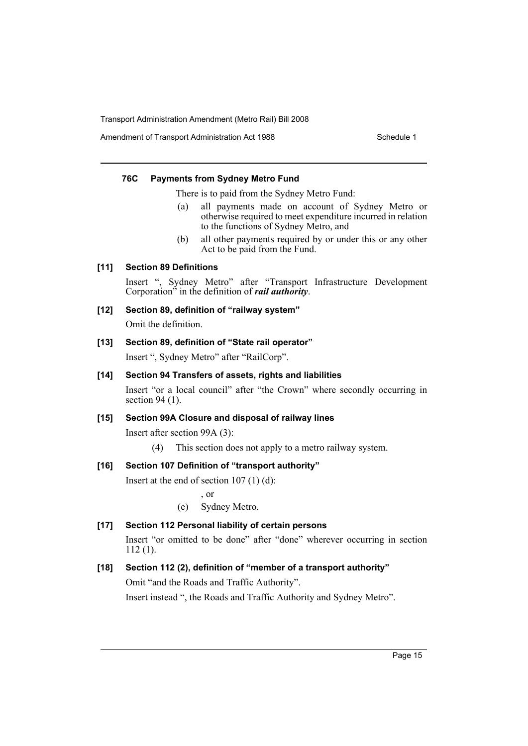Amendment of Transport Administration Act 1988 Schedule 1

#### **76C Payments from Sydney Metro Fund**

There is to paid from the Sydney Metro Fund:

- (a) all payments made on account of Sydney Metro or otherwise required to meet expenditure incurred in relation to the functions of Sydney Metro, and
- (b) all other payments required by or under this or any other Act to be paid from the Fund.

# **[11] Section 89 Definitions**

Insert ", Sydney Metro" after "Transport Infrastructure Development Corporation" in the definition of *rail authority*.

# **[12] Section 89, definition of "railway system"**

Omit the definition.

# **[13] Section 89, definition of "State rail operator"**

Insert ", Sydney Metro" after "RailCorp".

# **[14] Section 94 Transfers of assets, rights and liabilities**

Insert "or a local council" after "the Crown" where secondly occurring in section 94 (1).

# **[15] Section 99A Closure and disposal of railway lines**

Insert after section 99A (3):

(4) This section does not apply to a metro railway system.

# **[16] Section 107 Definition of "transport authority"**

Insert at the end of section 107 (1) (d):

, or

(e) Sydney Metro.

# **[17] Section 112 Personal liability of certain persons**

Insert "or omitted to be done" after "done" wherever occurring in section 112 (1).

# **[18] Section 112 (2), definition of "member of a transport authority"**

Omit "and the Roads and Traffic Authority".

Insert instead ", the Roads and Traffic Authority and Sydney Metro".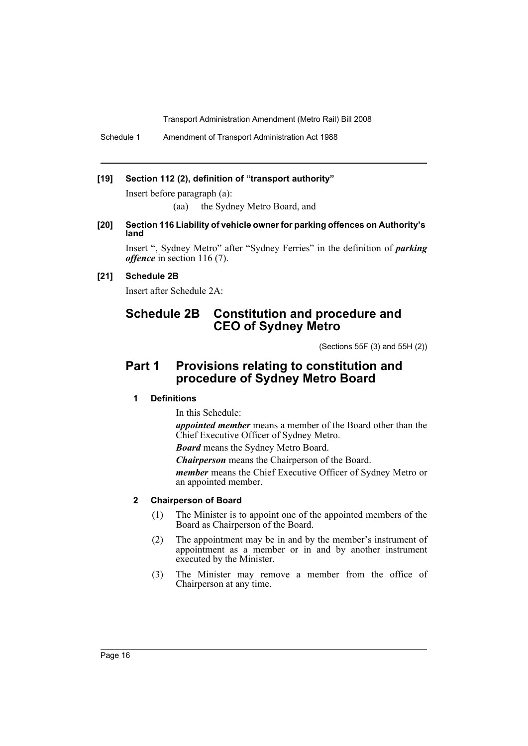Schedule 1 Amendment of Transport Administration Act 1988

#### **[19] Section 112 (2), definition of "transport authority"**

Insert before paragraph (a):

(aa) the Sydney Metro Board, and

#### **[20] Section 116 Liability of vehicle owner for parking offences on Authority's land**

Insert ", Sydney Metro" after "Sydney Ferries" in the definition of *parking offence* in section 116 (7).

# **[21] Schedule 2B**

Insert after Schedule 2A:

# **Schedule 2B Constitution and procedure and CEO of Sydney Metro**

(Sections 55F (3) and 55H (2))

# **Part 1 Provisions relating to constitution and procedure of Sydney Metro Board**

# **1 Definitions**

In this Schedule:

*appointed member* means a member of the Board other than the Chief Executive Officer of Sydney Metro.

*Board* means the Sydney Metro Board.

*Chairperson* means the Chairperson of the Board.

*member* means the Chief Executive Officer of Sydney Metro or an appointed member.

# **2 Chairperson of Board**

- (1) The Minister is to appoint one of the appointed members of the Board as Chairperson of the Board.
- (2) The appointment may be in and by the member's instrument of appointment as a member or in and by another instrument executed by the Minister.
- (3) The Minister may remove a member from the office of Chairperson at any time.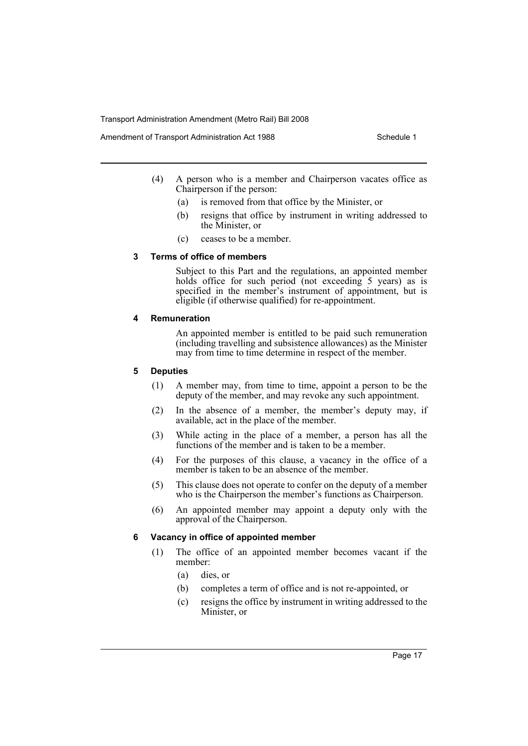Amendment of Transport Administration Act 1988 Schedule 1

- (4) A person who is a member and Chairperson vacates office as Chairperson if the person:
	- (a) is removed from that office by the Minister, or
	- (b) resigns that office by instrument in writing addressed to the Minister, or
	- (c) ceases to be a member.

#### **3 Terms of office of members**

Subject to this Part and the regulations, an appointed member holds office for such period (not exceeding 5 years) as is specified in the member's instrument of appointment, but is eligible (if otherwise qualified) for re-appointment.

#### **4 Remuneration**

An appointed member is entitled to be paid such remuneration (including travelling and subsistence allowances) as the Minister may from time to time determine in respect of the member.

#### **5 Deputies**

- (1) A member may, from time to time, appoint a person to be the deputy of the member, and may revoke any such appointment.
- (2) In the absence of a member, the member's deputy may, if available, act in the place of the member.
- (3) While acting in the place of a member, a person has all the functions of the member and is taken to be a member.
- (4) For the purposes of this clause, a vacancy in the office of a member is taken to be an absence of the member.
- (5) This clause does not operate to confer on the deputy of a member who is the Chairperson the member's functions as Chairperson.
- (6) An appointed member may appoint a deputy only with the approval of the Chairperson.

# **6 Vacancy in office of appointed member**

- (1) The office of an appointed member becomes vacant if the member:
	- (a) dies, or
	- (b) completes a term of office and is not re-appointed, or
	- (c) resigns the office by instrument in writing addressed to the Minister, or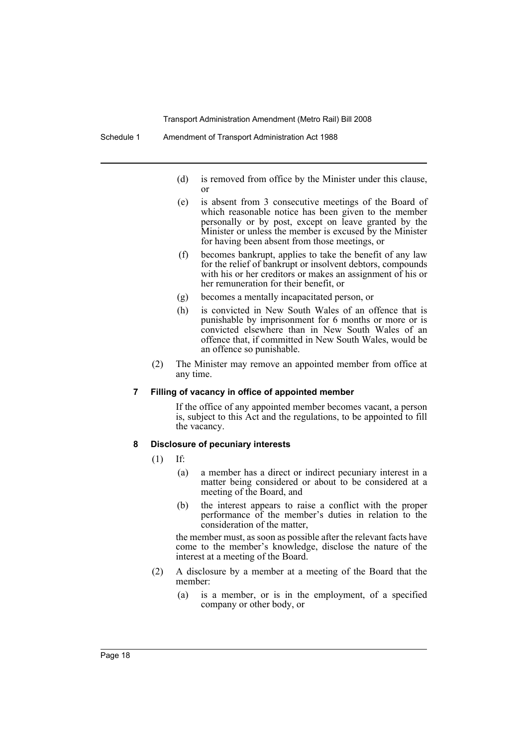- (d) is removed from office by the Minister under this clause, or
- (e) is absent from 3 consecutive meetings of the Board of which reasonable notice has been given to the member personally or by post, except on leave granted by the Minister or unless the member is excused by the Minister for having been absent from those meetings, or
- (f) becomes bankrupt, applies to take the benefit of any law for the relief of bankrupt or insolvent debtors, compounds with his or her creditors or makes an assignment of his or her remuneration for their benefit, or
- (g) becomes a mentally incapacitated person, or
- (h) is convicted in New South Wales of an offence that is punishable by imprisonment for 6 months or more or is convicted elsewhere than in New South Wales of an offence that, if committed in New South Wales, would be an offence so punishable.
- (2) The Minister may remove an appointed member from office at any time.

#### **7 Filling of vacancy in office of appointed member**

If the office of any appointed member becomes vacant, a person is, subject to this Act and the regulations, to be appointed to fill the vacancy.

#### **8 Disclosure of pecuniary interests**

- (1) If:
	- (a) a member has a direct or indirect pecuniary interest in a matter being considered or about to be considered at a meeting of the Board, and
	- (b) the interest appears to raise a conflict with the proper performance of the member's duties in relation to the consideration of the matter,

the member must, as soon as possible after the relevant facts have come to the member's knowledge, disclose the nature of the interest at a meeting of the Board.

- (2) A disclosure by a member at a meeting of the Board that the member:
	- (a) is a member, or is in the employment, of a specified company or other body, or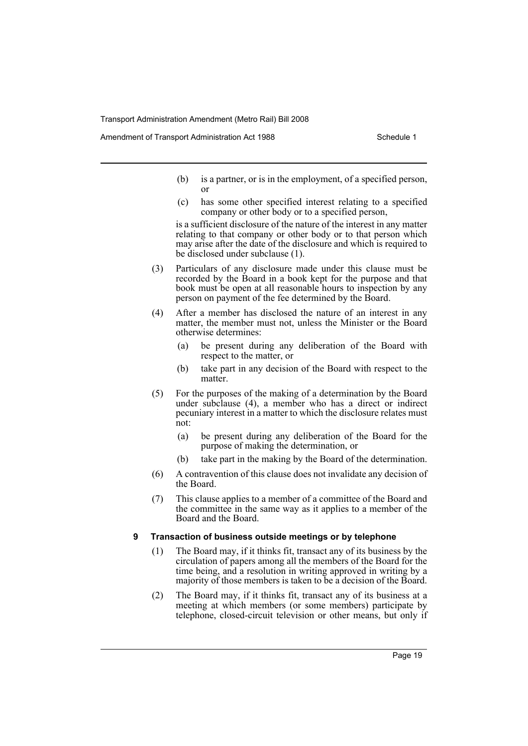Amendment of Transport Administration Act 1988 Schedule 1

- (b) is a partner, or is in the employment, of a specified person, or
- (c) has some other specified interest relating to a specified company or other body or to a specified person,

is a sufficient disclosure of the nature of the interest in any matter relating to that company or other body or to that person which may arise after the date of the disclosure and which is required to be disclosed under subclause (1).

- (3) Particulars of any disclosure made under this clause must be recorded by the Board in a book kept for the purpose and that book must be open at all reasonable hours to inspection by any person on payment of the fee determined by the Board.
- (4) After a member has disclosed the nature of an interest in any matter, the member must not, unless the Minister or the Board otherwise determines:
	- (a) be present during any deliberation of the Board with respect to the matter, or
	- (b) take part in any decision of the Board with respect to the matter.
- (5) For the purposes of the making of a determination by the Board under subclause (4), a member who has a direct or indirect pecuniary interest in a matter to which the disclosure relates must not:
	- (a) be present during any deliberation of the Board for the purpose of making the determination, or
	- (b) take part in the making by the Board of the determination.
- (6) A contravention of this clause does not invalidate any decision of the Board.
- (7) This clause applies to a member of a committee of the Board and the committee in the same way as it applies to a member of the Board and the Board.

#### **9 Transaction of business outside meetings or by telephone**

- (1) The Board may, if it thinks fit, transact any of its business by the circulation of papers among all the members of the Board for the time being, and a resolution in writing approved in writing by a majority of those members is taken to be a decision of the Board.
- (2) The Board may, if it thinks fit, transact any of its business at a meeting at which members (or some members) participate by telephone, closed-circuit television or other means, but only if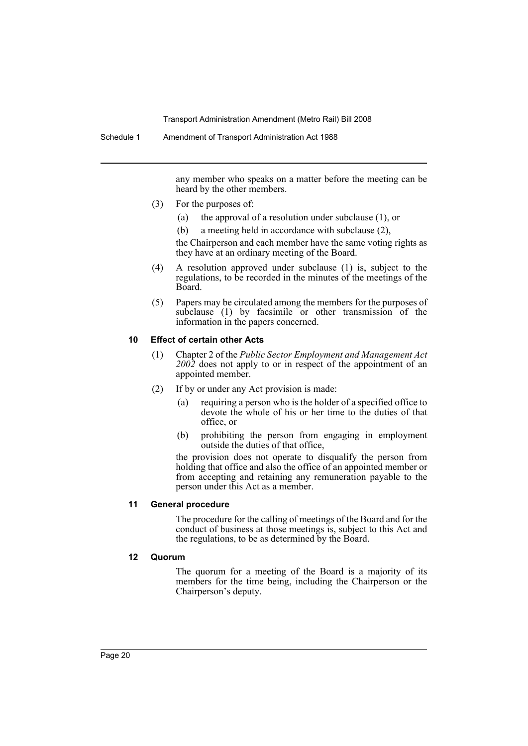any member who speaks on a matter before the meeting can be heard by the other members.

- (3) For the purposes of:
	- (a) the approval of a resolution under subclause (1), or
	- (b) a meeting held in accordance with subclause (2),

the Chairperson and each member have the same voting rights as they have at an ordinary meeting of the Board.

- (4) A resolution approved under subclause (1) is, subject to the regulations, to be recorded in the minutes of the meetings of the Board.
- (5) Papers may be circulated among the members for the purposes of subclause (1) by facsimile or other transmission of the information in the papers concerned.

#### **10 Effect of certain other Acts**

- (1) Chapter 2 of the *Public Sector Employment and Management Act 2002* does not apply to or in respect of the appointment of an appointed member.
- (2) If by or under any Act provision is made:
	- (a) requiring a person who is the holder of a specified office to devote the whole of his or her time to the duties of that office, or
	- (b) prohibiting the person from engaging in employment outside the duties of that office,

the provision does not operate to disqualify the person from holding that office and also the office of an appointed member or from accepting and retaining any remuneration payable to the person under this Act as a member.

#### **11 General procedure**

The procedure for the calling of meetings of the Board and for the conduct of business at those meetings is, subject to this Act and the regulations, to be as determined by the Board.

#### **12 Quorum**

The quorum for a meeting of the Board is a majority of its members for the time being, including the Chairperson or the Chairperson's deputy.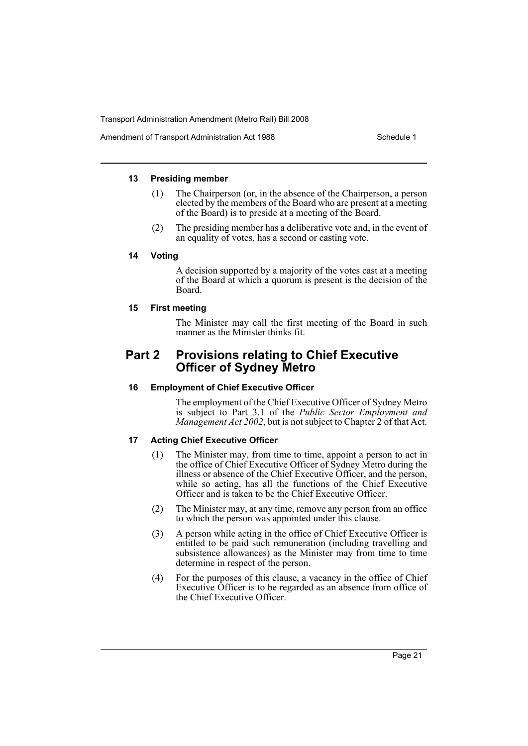#### **13 Presiding member**

- (1) The Chairperson (or, in the absence of the Chairperson, a person elected by the members of the Board who are present at a meeting of the Board) is to preside at a meeting of the Board.
- (2) The presiding member has a deliberative vote and, in the event of an equality of votes, has a second or casting vote.

#### **14 Voting**

A decision supported by a majority of the votes cast at a meeting of the Board at which a quorum is present is the decision of the Board.

#### **15 First meeting**

The Minister may call the first meeting of the Board in such manner as the Minister thinks fit.

# **Part 2 Provisions relating to Chief Executive Officer of Sydney Metro**

# **16 Employment of Chief Executive Officer**

The employment of the Chief Executive Officer of Sydney Metro is subject to Part 3.1 of the *Public Sector Employment and Management Act 2002*, but is not subject to Chapter 2 of that Act.

# **17 Acting Chief Executive Officer**

- (1) The Minister may, from time to time, appoint a person to act in the office of Chief Executive Officer of Sydney Metro during the illness or absence of the Chief Executive Officer, and the person, while so acting, has all the functions of the Chief Executive Officer and is taken to be the Chief Executive Officer.
- (2) The Minister may, at any time, remove any person from an office to which the person was appointed under this clause.
- (3) A person while acting in the office of Chief Executive Officer is entitled to be paid such remuneration (including travelling and subsistence allowances) as the Minister may from time to time determine in respect of the person.
- (4) For the purposes of this clause, a vacancy in the office of Chief Executive Officer is to be regarded as an absence from office of the Chief Executive Officer.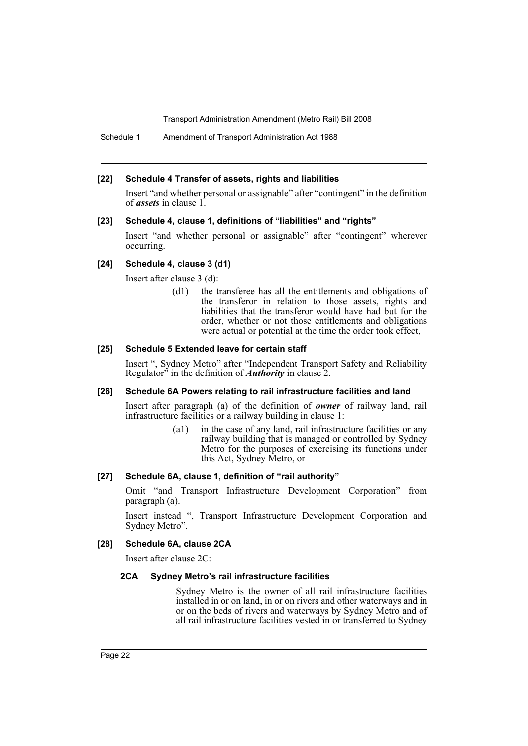Schedule 1 Amendment of Transport Administration Act 1988

#### **[22] Schedule 4 Transfer of assets, rights and liabilities**

Insert "and whether personal or assignable" after "contingent" in the definition of *assets* in clause 1.

#### **[23] Schedule 4, clause 1, definitions of "liabilities" and "rights"**

Insert "and whether personal or assignable" after "contingent" wherever occurring.

#### **[24] Schedule 4, clause 3 (d1)**

Insert after clause 3 (d):

(d1) the transferee has all the entitlements and obligations of the transferor in relation to those assets, rights and liabilities that the transferor would have had but for the order, whether or not those entitlements and obligations were actual or potential at the time the order took effect,

#### **[25] Schedule 5 Extended leave for certain staff**

Insert ", Sydney Metro" after "Independent Transport Safety and Reliability Regulator" in the definition of *Authority* in clause 2.

#### **[26] Schedule 6A Powers relating to rail infrastructure facilities and land**

Insert after paragraph (a) of the definition of *owner* of railway land, rail infrastructure facilities or a railway building in clause 1:

> (a1) in the case of any land, rail infrastructure facilities or any railway building that is managed or controlled by Sydney Metro for the purposes of exercising its functions under this Act, Sydney Metro, or

# **[27] Schedule 6A, clause 1, definition of "rail authority"**

Omit "and Transport Infrastructure Development Corporation" from paragraph (a).

Insert instead ", Transport Infrastructure Development Corporation and Sydney Metro".

#### **[28] Schedule 6A, clause 2CA**

Insert after clause 2C:

#### **2CA Sydney Metro's rail infrastructure facilities**

Sydney Metro is the owner of all rail infrastructure facilities installed in or on land, in or on rivers and other waterways and in or on the beds of rivers and waterways by Sydney Metro and of all rail infrastructure facilities vested in or transferred to Sydney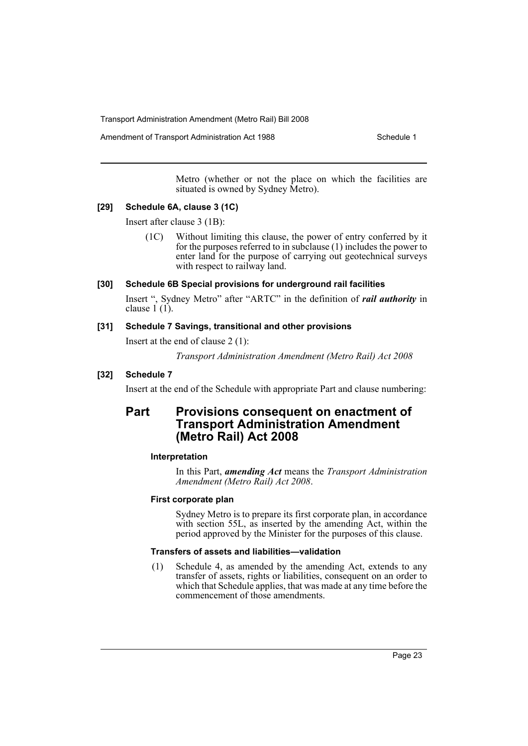Amendment of Transport Administration Act 1988 Schedule 1

Metro (whether or not the place on which the facilities are situated is owned by Sydney Metro).

# **[29] Schedule 6A, clause 3 (1C)**

Insert after clause 3 (1B):

(1C) Without limiting this clause, the power of entry conferred by it for the purposes referred to in subclause (1) includes the power to enter land for the purpose of carrying out geotechnical surveys with respect to railway land.

# **[30] Schedule 6B Special provisions for underground rail facilities**

Insert ", Sydney Metro" after "ARTC" in the definition of *rail authority* in clause 1 (1).

### **[31] Schedule 7 Savings, transitional and other provisions**

Insert at the end of clause 2 (1):

*Transport Administration Amendment (Metro Rail) Act 2008*

# **[32] Schedule 7**

Insert at the end of the Schedule with appropriate Part and clause numbering:

# **Part Provisions consequent on enactment of Transport Administration Amendment (Metro Rail) Act 2008**

# **Interpretation**

In this Part, *amending Act* means the *Transport Administration Amendment (Metro Rail) Act 2008*.

# **First corporate plan**

Sydney Metro is to prepare its first corporate plan, in accordance with section 55L, as inserted by the amending Act, within the period approved by the Minister for the purposes of this clause.

#### **Transfers of assets and liabilities—validation**

(1) Schedule 4, as amended by the amending Act, extends to any transfer of assets, rights or liabilities, consequent on an order to which that Schedule applies, that was made at any time before the commencement of those amendments.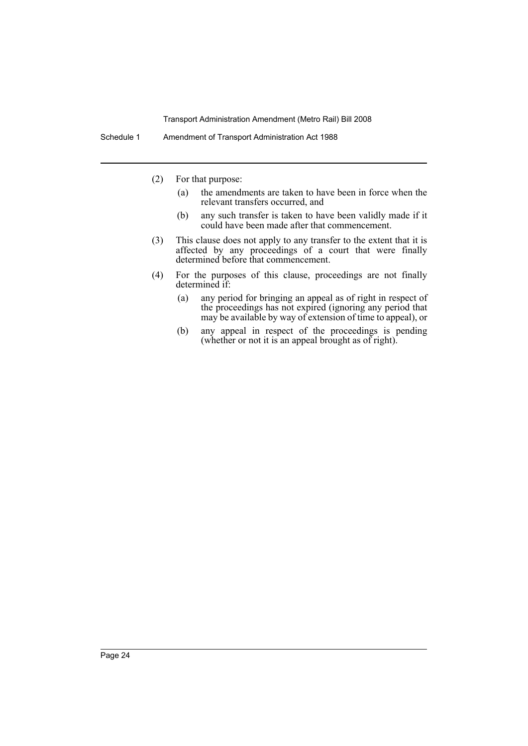- (2) For that purpose:
	- (a) the amendments are taken to have been in force when the relevant transfers occurred, and
	- (b) any such transfer is taken to have been validly made if it could have been made after that commencement.
- (3) This clause does not apply to any transfer to the extent that it is affected by any proceedings of a court that were finally determined before that commencement.
- (4) For the purposes of this clause, proceedings are not finally determined if:
	- (a) any period for bringing an appeal as of right in respect of the proceedings has not expired (ignoring any period that may be available by way of extension of time to appeal), or
	- (b) any appeal in respect of the proceedings is pending (whether or not it is an appeal brought as of right).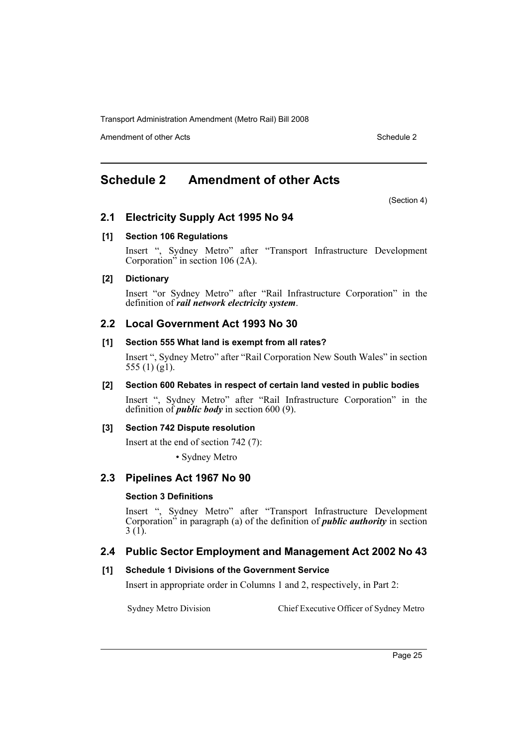Amendment of other Acts **Schedule 2** and the 2 and the 2 and 2 and 2 and 2 and 2 and 2 and 2 and 2 and 2 and 2 and 2 and 2 and 2 and 2 and 2 and 2 and 2 and 2 and 2 and 2 and 2 and 2 and 2 and 2 and 2 and 2 and 2 and 2 and

# <span id="page-25-0"></span>**Schedule 2 Amendment of other Acts**

(Section 4)

# **2.1 Electricity Supply Act 1995 No 94**

# **[1] Section 106 Regulations**

Insert ", Sydney Metro" after "Transport Infrastructure Development Corporation" in section 106 (2A).

# **[2] Dictionary**

Insert "or Sydney Metro" after "Rail Infrastructure Corporation" in the definition of *rail network electricity system*.

# **2.2 Local Government Act 1993 No 30**

# **[1] Section 555 What land is exempt from all rates?**

Insert ", Sydney Metro" after "Rail Corporation New South Wales" in section 555 (1) (g1).

# **[2] Section 600 Rebates in respect of certain land vested in public bodies**

Insert ", Sydney Metro" after "Rail Infrastructure Corporation" in the definition of *public body* in section 600 (9).

# **[3] Section 742 Dispute resolution**

Insert at the end of section 742 (7):

• Sydney Metro

# **2.3 Pipelines Act 1967 No 90**

# **Section 3 Definitions**

Insert ", Sydney Metro" after "Transport Infrastructure Development Corporation" in paragraph (a) of the definition of *public authority* in section  $3(1)$ .

# **2.4 Public Sector Employment and Management Act 2002 No 43**

# **[1] Schedule 1 Divisions of the Government Service**

Insert in appropriate order in Columns 1 and 2, respectively, in Part 2:

Sydney Metro Division Chief Executive Officer of Sydney Metro